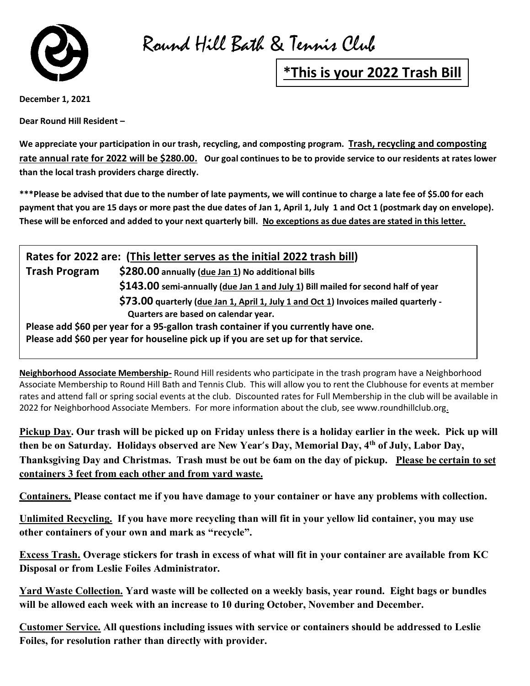

Round Hill Bath & Tennis Club

## **\*This is your 2022 Trash Bill**

**December 1, 2021**

**Dear Round Hill Resident –**

**We appreciate your participation in our trash, recycling, and composting program. Trash, recycling and composting rate annual rate for 2022 will be \$280.00. Our goal continues to be to provide service to our residents at rates lower than the local trash providers charge directly.**

**\*\*\*Please be advised that due to the number of late payments, we will continue to charge a late fee of \$5.00 for each payment that you are 15 days or more past the due dates of Jan 1, April 1, July 1 and Oct 1 (postmark day on envelope). These will be enforced and added to your next quarterly bill. No exceptions as due dates are stated in this letter.**

| Rates for 2022 are: (This letter serves as the initial 2022 trash bill)             |                                                                                      |
|-------------------------------------------------------------------------------------|--------------------------------------------------------------------------------------|
| <b>Trash Program</b>                                                                | \$280.00 annually (due Jan 1) No additional bills                                    |
|                                                                                     | \$143.00 semi-annually (due Jan 1 and July 1) Bill mailed for second half of year    |
|                                                                                     | \$73.00 quarterly (due Jan 1, April 1, July 1 and Oct 1) Invoices mailed quarterly - |
|                                                                                     | Quarters are based on calendar year.                                                 |
| Please add \$60 per year for a 95-gallon trash container if you currently have one. |                                                                                      |
| Please add \$60 per year for houseline pick up if you are set up for that service.  |                                                                                      |

**Neighborhood Associate Membership-** Round Hill residents who participate in the trash program have a Neighborhood Associate Membership to Round Hill Bath and Tennis Club. This will allow you to rent the Clubhouse for events at member rates and attend fall or spring social events at the club. Discounted rates for Full Membership in the club will be available in 2022 for Neighborhood Associate Members. For more information about the club, see www.roundhillclub.org.

**Pickup Day. Our trash will be picked up on Friday unless there is a holiday earlier in the week. Pick up will then be on Saturday. Holidays observed are New Year**'**s Day, Memorial Day, 4th of July, Labor Day, Thanksgiving Day and Christmas. Trash must be out be 6am on the day of pickup. Please be certain to set containers 3 feet from each other and from yard waste.**

**Containers. Please contact me if you have damage to your container or have any problems with collection.**

**Unlimited Recycling. If you have more recycling than will fit in your yellow lid container, you may use other containers of your own and mark as "recycle".**

**Excess Trash. Overage stickers for trash in excess of what will fit in your container are available from KC Disposal or from Leslie Foiles Administrator.**

**Yard Waste Collection. Yard waste will be collected on a weekly basis, year round. Eight bags or bundles will be allowed each week with an increase to 10 during October, November and December.**

**Customer Service. All questions including issues with service or containers should be addressed to Leslie Foiles, for resolution rather than directly with provider.**